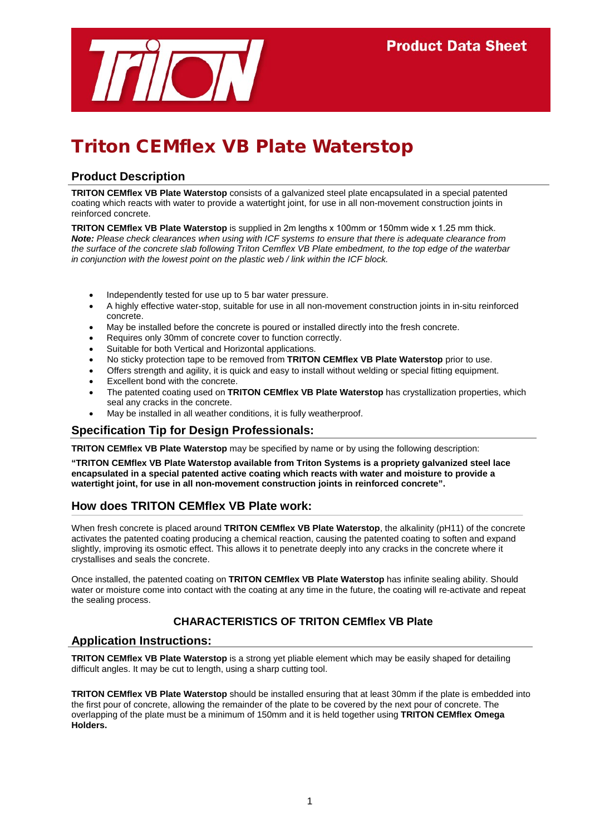

# Triton CEMflex VB Plate Waterstop

## **Product Description**

**TRITON CEMflex VB Plate Waterstop** consists of a galvanized steel plate encapsulated in a special patented coating which reacts with water to provide a watertight joint, for use in all non-movement construction joints in reinforced concrete.

**TRITON CEMflex VB Plate Waterstop** is supplied in 2m lengths x 100mm or 150mm wide x 1.25 mm thick. *Note: Please check clearances when using with ICF systems to ensure that there is adequate clearance from the surface of the concrete slab following Triton Cemflex VB Plate embedment, to the top edge of the waterbar in conjunction with the lowest point on the plastic web / link within the ICF block.* 

- Independently tested for use up to 5 bar water pressure.
- A highly effective water-stop, suitable for use in all non-movement construction joints in in-situ reinforced concrete.
- May be installed before the concrete is poured or installed directly into the fresh concrete.
- Requires only 30mm of concrete cover to function correctly.
- Suitable for both Vertical and Horizontal applications.
- No sticky protection tape to be removed from **TRITON CEMflex VB Plate Waterstop** prior to use.
- Offers strength and agility, it is quick and easy to install without welding or special fitting equipment.
- Excellent bond with the concrete.
- The patented coating used on **TRITON CEMflex VB Plate Waterstop** has crystallization properties, which seal any cracks in the concrete.
- May be installed in all weather conditions, it is fully weatherproof.

## **Specification Tip for Design Professionals:**

**TRITON CEMflex VB Plate Waterstop** may be specified by name or by using the following description:

**"TRITON CEMflex VB Plate Waterstop available from Triton Systems is a propriety galvanized steel lace encapsulated in a special patented active coating which reacts with water and moisture to provide a watertight joint, for use in all non-movement construction joints in reinforced concrete".**

## **How does TRITON CEMflex VB Plate work:**

When fresh concrete is placed around **TRITON CEMflex VB Plate Waterstop**, the alkalinity (pH11) of the concrete activates the patented coating producing a chemical reaction, causing the patented coating to soften and expand slightly, improving its osmotic effect. This allows it to penetrate deeply into any cracks in the concrete where it crystallises and seals the concrete.

Once installed, the patented coating on **TRITON CEMflex VB Plate Waterstop** has infinite sealing ability. Should water or moisture come into contact with the coating at any time in the future, the coating will re-activate and repeat the sealing process.

## **CHARACTERISTICS OF TRITON CEMflex VB Plate**

## **Application Instructions:**

**TRITON CEMflex VB Plate Waterstop** is a strong yet pliable element which may be easily shaped for detailing difficult angles. It may be cut to length, using a sharp cutting tool.

**TRITON CEMflex VB Plate Waterstop** should be installed ensuring that at least 30mm if the plate is embedded into the first pour of concrete, allowing the remainder of the plate to be covered by the next pour of concrete. The overlapping of the plate must be a minimum of 150mm and it is held together using **TRITON CEMflex Omega Holders.**